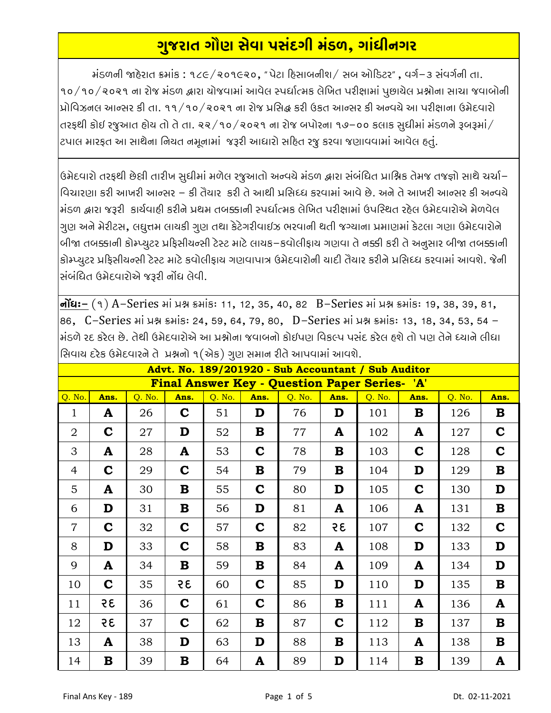## ગુજરાત ગૌણ સેવા પસંદગી મંડળ, ગાંધીનગર

 $i$ รળની જાહેરાત ક્રમાંક : ૧૮૯/૨૦૧૯૨૦, "પેટા હિસાબનીશ/ સબ ઓડિટર", વર્ગ-૩ સંવર્ગની તા. ૧૦/૧૦/૨૦૨૧ ના રોજ મંડળ દ્વારા યોજવામાં આવેલ સ્પર્ધાત્મક લેખિત પરીક્ષામાં પુછાયેલ પ્રશ્નોના સાચા જવાબોની પ્રોવિઝનલ આન્સર કી તા. ૧૧/૧૦/૨૦૨૧ ના રોજ પ્રસિદ્ધ કરી ઉકત આન્સર કી અન્વચે આ પરીક્ષાના ઉમેદવારો તરફથી કોઈ રજૂઆત હોય તો તે તા. ૨૨/૧૦/૨૦૨૧ ના રોજ બપોરના ૧૭–૦૦ કલાક સુધીમાં મંડળને રૂબરૂમાં/ ટપાલ મારફત આ સાથેના નિયત નમૂનામાં જરૂરી આધારો સદિત રજુ કરવા જણાવવામાં આવેલ હતું.

ઉમેદવારો તરફથી છેલ્રી તારીખ સુધીમાં મળેલ રજુઆતો અન્વચે મંડળ દ્વારા સંબંધિત પ્રાશ્નિક તેમજ તજજ્ઞો સાથે ચર્ચા– વિચારણા કરી આખરી આન્સર – કી તૈયાર કરી તે આથી પ્રસિદ્ધ કરવામાં આવે છે. અને તે આખરી આન્સર કી અન્વચે મંડળ દ્વારા જરૂરી કાર્યવાહી કરીને પ્રથમ તબક્કાની સ્પર્ધાત્મક લેખિત પરીક્ષામાં ઉપસ્થિત રહેલ ઉમેદવારોએ મેળવેલ ગુણ અને મેરીટસ, લઘુત્તમ લાયકી ગુણ તથા કેટેગરીવાઈઝ ભરવાની થતી જગ્યાના પ્રમાણમાં કેટલા ગણા ઉમેદવારોને બીજા તબક્કાની કોમ્પ્યુટર પ્રફિસીયન્સી ટેસ્ટ માટે લાયક–કવોલીફાય ગણવા તે નક્કી કરી તે અનુસાર બીજા તબક્કાની કોમ્પ્યુટર પ્રફિસીયન્સી ટેસ્ટ માટે કવોલીફાય ગણવાપાત્ર ઉમેદવારોની યાદી તૈયાર કરીને પ્રસિધ્ધ કરવામાં આવશે. જેની સંબંધિત ઉમેદવારોએ જરૂરી નોંધ લેવી.

**નોંઘઃ**– (૧) A–Series માં પ્રશ્ન ક્રમાંકઃ 11, 12, 35, 40, 82 B–Series માં પ્રશ્ન ક્રમાંકઃ 19, 38, 39, 81, 86, C-Series ні уня внів: 24, 59, 64, 79, 80, D-Series ні уня внів: 13, 18, 34, 53, 54 -મંડળે રદ કરેલ છે. તેથી ઉમેદવારોએ આ પ્રશ્નોના જવાબનો કોઈપણ વિકલ્પ પસંદ કરેલ હશે તો પણ તેને ધ્યાને લીધા સિવાય દરેક ઉમેદવારને તે. પશ્ચનો ૧(એક) ગાગ સમાન રીતે આપવામાં આવશે

| $\cdots$ $\cdots$                                    |             |        |             |        |             |        |              |        |             |        |             |  |  |
|------------------------------------------------------|-------------|--------|-------------|--------|-------------|--------|--------------|--------|-------------|--------|-------------|--|--|
| Advt. No. 189/201920 - Sub Accountant / Sub Auditor  |             |        |             |        |             |        |              |        |             |        |             |  |  |
| <b>Final Answer Key - Question Paper Series- 'A'</b> |             |        |             |        |             |        |              |        |             |        |             |  |  |
| Q. No.                                               | Ans.        | Q. No. | Ans.        | Q. No. | Ans.        | Q. No. | Ans.         | Q. No. | Ans.        | Q. No. | Ans.        |  |  |
| 1                                                    | A           | 26     | $\mathbf C$ | 51     | D           | 76     | D            | 101    | B           | 126    | $\bf{B}$    |  |  |
| 2                                                    | $\mathbf C$ | 27     | D           | 52     | B           | 77     | A            | 102    | A           | 127    | $\mathbf C$ |  |  |
| 3                                                    | A           | 28     | A           | 53     | $\mathbf C$ | 78     | B            | 103    | $\mathbf C$ | 128    | $\mathbf C$ |  |  |
| $\overline{4}$                                       | $\mathbf C$ | 29     | $\mathbf C$ | 54     | B           | 79     | B            | 104    | D           | 129    | $\bf{B}$    |  |  |
| 5                                                    | A           | 30     | $\bf{B}$    | 55     | $\mathbf C$ | 80     | D            | 105    | $\mathbf C$ | 130    | D           |  |  |
| 6                                                    | D           | 31     | $\bf{B}$    | 56     | D           | 81     | $\mathbf{A}$ | 106    | A           | 131    | $\bf{B}$    |  |  |
| $\overline{7}$                                       | $\mathbf C$ | 32     | $\mathbf C$ | 57     | $\mathbf C$ | 82     | 35           | 107    | $\mathbf C$ | 132    | $\mathbf C$ |  |  |
| 8                                                    | D           | 33     | $\mathbf C$ | 58     | B           | 83     | A            | 108    | D           | 133    | D           |  |  |
| 9                                                    | A           | 34     | $\bf{B}$    | 59     | B           | 84     | ${\bf A}$    | 109    | A           | 134    | D           |  |  |
| 10                                                   | $\mathbf C$ | 35     | 35          | 60     | $\mathbf C$ | 85     | D            | 110    | D           | 135    | $\bf{B}$    |  |  |
| 11                                                   | 35          | 36     | $\mathbf C$ | 61     | $\mathbf C$ | 86     | B            | 111    | A           | 136    | ${\bf A}$   |  |  |
| 12                                                   | 35          | 37     | $\mathbf C$ | 62     | $\bf{B}$    | 87     | $\mathbf C$  | 112    | B           | 137    | $\bf{B}$    |  |  |
| 13                                                   | A           | 38     | D           | 63     | D           | 88     | B            | 113    | A           | 138    | $\bf{B}$    |  |  |
| 14                                                   | В           | 39     | $\bf{B}$    | 64     | A           | 89     | D            | 114    | B           | 139    | ${\bf A}$   |  |  |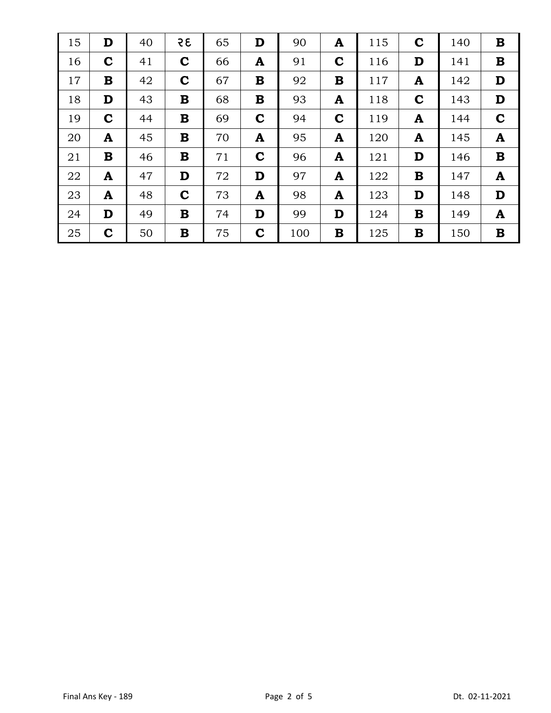| 15 | D           | 40 | 35          | 65 | D           | 90  | A           | 115 | $\mathbf C$ | 140 | B            |
|----|-------------|----|-------------|----|-------------|-----|-------------|-----|-------------|-----|--------------|
| 16 | $\mathbf C$ | 41 | $\mathbf C$ | 66 | A           | 91  | $\mathbf C$ | 116 | D           | 141 | $\bf{B}$     |
| 17 | $\bf{B}$    | 42 | $\mathbf C$ | 67 | $\mathbf B$ | 92  | B           | 117 | A           | 142 | D            |
| 18 | D           | 43 | $\bf{B}$    | 68 | B           | 93  | A           | 118 | $\mathbf C$ | 143 | D            |
| 19 | $\mathbf C$ | 44 | $\bf{B}$    | 69 | $\mathbf C$ | 94  | $\mathbf C$ | 119 | A           | 144 | $\mathbf C$  |
| 20 | A           | 45 | $\bf{B}$    | 70 | A           | 95  | A           | 120 | A           | 145 | A            |
| 21 | $\bf{B}$    | 46 | $\bf{B}$    | 71 | $\mathbf C$ | 96  | A           | 121 | D           | 146 | $\bf{B}$     |
| 22 | A           | 47 | D           | 72 | D           | 97  | A           | 122 | $\bf{B}$    | 147 | $\mathbf{A}$ |
| 23 | A           | 48 | $\mathbf C$ | 73 | A           | 98  | A           | 123 | D           | 148 | D            |
| 24 | D           | 49 | $\bf{B}$    | 74 | D           | 99  | D           | 124 | $\bf{B}$    | 149 | A            |
| 25 | $\mathbf C$ | 50 | B           | 75 | $\mathbf C$ | 100 | B           | 125 | B           | 150 | B            |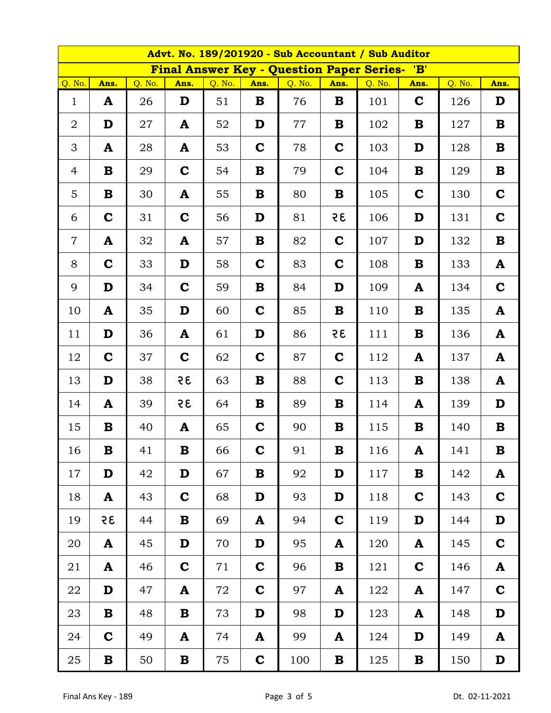| Advt. No. 189/201920 - Sub Accountant / Sub Auditor |             |        |             |        |             |                                                  |             |        |                 |        |             |  |
|-----------------------------------------------------|-------------|--------|-------------|--------|-------------|--------------------------------------------------|-------------|--------|-----------------|--------|-------------|--|
|                                                     |             |        |             |        |             | <b>Final Answer Key - Question Paper Series-</b> |             |        | $^{\prime}$ 'B' |        |             |  |
| Q. No.                                              | Ans.        | Q. No. | Ans.        | Q. No. | Ans.        | Q. No.                                           | Ans.        | Q. No. | Ans.            | Q. No. | Ans.        |  |
| $\mathbf{1}$                                        | A           | 26     | D           | 51     | B           | 76                                               | B           | 101    | $\mathbf C$     | 126    | D           |  |
| $\overline{2}$                                      | D           | 27     | A           | 52     | D           | 77                                               | B           | 102    | B               | 127    | $\bf{B}$    |  |
| 3                                                   | A           | 28     | A           | 53     | $\mathbf C$ | 78                                               | $\mathbf C$ | 103    | D               | 128    | $\bf{B}$    |  |
| $\overline{4}$                                      | B           | 29     | $\mathbf C$ | 54     | B           | 79                                               | $\mathbf C$ | 104    | B               | 129    | $\bf{B}$    |  |
| 5                                                   | B           | 30     | A           | 55     | B           | 80                                               | B           | 105    | $\mathbf C$     | 130    | $\mathbf C$ |  |
| 6                                                   | $\mathbf C$ | 31     | $\mathbf C$ | 56     | D           | 81                                               | 35          | 106    | D               | 131    | $\mathbf C$ |  |
| $\overline{7}$                                      | A           | 32     | A           | 57     | B           | 82                                               | $\mathbf C$ | 107    | D               | 132    | $\bf{B}$    |  |
| 8                                                   | $\mathbf C$ | 33     | D           | 58     | $\mathbf C$ | 83                                               | $\mathbf C$ | 108    | B               | 133    | ${\bf A}$   |  |
| 9                                                   | D           | 34     | $\mathbf C$ | 59     | B           | 84                                               | D           | 109    | A               | 134    | $\mathbf C$ |  |
| 10                                                  | A           | 35     | D           | 60     | $\mathbf C$ | 85                                               | B           | 110    | B               | 135    | ${\bf A}$   |  |
| 11                                                  | D           | 36     | A           | 61     | D           | 86                                               | 35          | 111    | B               | 136    | ${\bf A}$   |  |
| 12                                                  | $\mathbf C$ | 37     | $\mathbf C$ | 62     | $\mathbf C$ | 87                                               | $\mathbf C$ | 112    | A               | 137    | ${\bf A}$   |  |
| 13                                                  | D           | 38     | 35          | 63     | B           | 88                                               | $\mathbf C$ | 113    | B               | 138    | A           |  |
| 14                                                  | A           | 39     | 35          | 64     | B           | 89                                               | B           | 114    | A               | 139    | D           |  |
| 15                                                  | $\bf{B}$    | 40     | A           | 65     | $\mathbf C$ | 90                                               | B           | 115    | B               | 140    | $\bf{B}$    |  |
| 16                                                  | $\bf{B}$    | 41     | $\bf{B}$    | 66     | $\mathbf C$ | 91                                               | $\mathbf B$ | 116    | A               | 141    | $\bf{B}$    |  |
| 17                                                  | D           | 42     | D           | 67     | B           | 92                                               | D           | 117    | B               | 142    | A           |  |
| 18                                                  | A           | 43     | $\mathbf C$ | 68     | D           | 93                                               | D           | 118    | $\mathbf C$     | 143    | $\mathbf C$ |  |
| 19                                                  | 35          | 44     | $\bf{B}$    | 69     | A           | 94                                               | $\mathbf C$ | 119    | D               | 144    | D           |  |
| 20                                                  | A           | 45     | D           | 70     | D           | 95                                               | A           | 120    | A               | 145    | $\mathbf C$ |  |
| 21                                                  | A           | 46     | $\mathbf C$ | 71     | $\mathbf C$ | 96                                               | B           | 121    | $\mathbf C$     | 146    | ${\bf A}$   |  |
| 22                                                  | D           | 47     | A           | 72     | $\mathbf C$ | 97                                               | A           | 122    | A               | 147    | $\mathbf C$ |  |
| 23                                                  | $\bf{B}$    | 48     | $\bf{B}$    | 73     | D           | 98                                               | D           | 123    | A               | 148    | D           |  |
| 24                                                  | $\mathbf C$ | 49     | A           | 74     | A           | 99                                               | A           | 124    | D               | 149    | A           |  |
| 25                                                  | $\bf{B}$    | 50     | $\bf{B}$    | 75     | $\mathbf C$ | 100                                              | $\bf{B}$    | 125    | $\bf{B}$        | 150    | D           |  |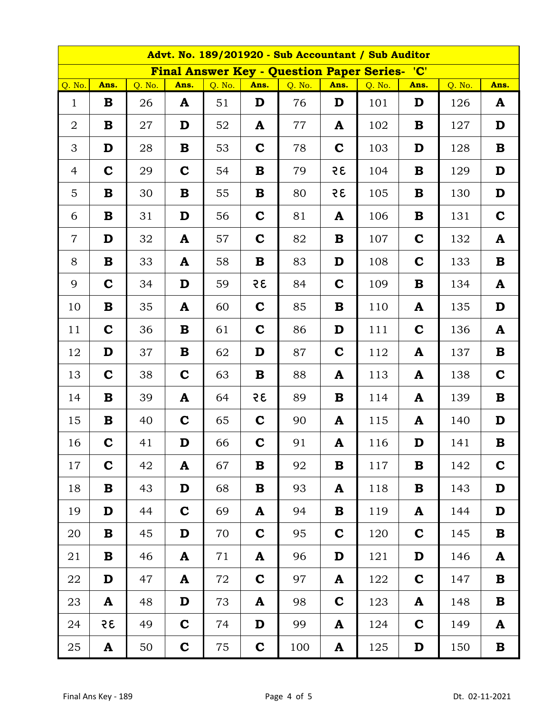| Advt. No. 189/201920 - Sub Accountant / Sub Auditor |             |        |             |        |             |                                                      |              |        |             |        |             |  |
|-----------------------------------------------------|-------------|--------|-------------|--------|-------------|------------------------------------------------------|--------------|--------|-------------|--------|-------------|--|
|                                                     |             |        |             |        |             | <b>Final Answer Key - Question Paper Series- 'C'</b> |              |        |             |        |             |  |
| Q. No.                                              | Ans.        | Q. No. | Ans.        | Q. No. | Ans.        | Q. No.                                               | Ans.         | Q. No. | Ans.        | Q. No. | Ans.        |  |
| $\mathbf{1}$                                        | B           | 26     | A           | 51     | D           | 76                                                   | D            | 101    | D           | 126    | A           |  |
| $\overline{2}$                                      | B           | 27     | D           | 52     | A           | 77                                                   | $\mathbf{A}$ | 102    | B           | 127    | D           |  |
| 3                                                   | D           | 28     | B           | 53     | $\mathbf C$ | 78                                                   | $\mathbf C$  | 103    | D           | 128    | $\mathbf B$ |  |
| $\overline{4}$                                      | $\mathbf C$ | 29     | $\mathbf C$ | 54     | B           | 79                                                   | 35           | 104    | B           | 129    | D           |  |
| $\overline{5}$                                      | $\bf{B}$    | 30     | B           | 55     | B           | 80                                                   | 35           | 105    | B           | 130    | D           |  |
| 6                                                   | B           | 31     | D           | 56     | $\mathbf C$ | 81                                                   | A            | 106    | B           | 131    | $\mathbf C$ |  |
| $\overline{7}$                                      | D           | 32     | A           | 57     | $\mathbf C$ | 82                                                   | B            | 107    | $\mathbf C$ | 132    | ${\bf A}$   |  |
| 8                                                   | $\bf{B}$    | 33     | A           | 58     | B           | 83                                                   | D            | 108    | $\mathbf C$ | 133    | $\mathbf B$ |  |
| 9                                                   | $\mathbf C$ | 34     | D           | 59     | 35          | 84                                                   | $\mathbf C$  | 109    | B           | 134    | ${\bf A}$   |  |
| 10                                                  | B           | 35     | A           | 60     | $\mathbf C$ | 85                                                   | B            | 110    | A           | 135    | D           |  |
| 11                                                  | $\mathbf C$ | 36     | B           | 61     | $\mathbf C$ | 86                                                   | D            | 111    | $\mathbf C$ | 136    | A           |  |
| 12                                                  | D           | 37     | B           | 62     | D           | 87                                                   | $\mathbf C$  | 112    | A           | 137    | $\mathbf B$ |  |
| 13                                                  | $\mathbf C$ | 38     | $\mathbf C$ | 63     | B           | 88                                                   | $\mathbf{A}$ | 113    | A           | 138    | $\mathbf C$ |  |
| 14                                                  | $\bf{B}$    | 39     | A           | 64     | 35          | 89                                                   | B            | 114    | A           | 139    | $\mathbf B$ |  |
| 15                                                  | B           | 40     | $\mathbf C$ | 65     | $\mathbf C$ | 90                                                   | A            | 115    | A           | 140    | D           |  |
| 16                                                  | $\mathbf C$ | 41     | D           | 66     | $\mathbf C$ | 91                                                   | A            | 116    | D           | 141    | $\bf{B}$    |  |
| 17                                                  | $\mathbf C$ | 42     | A           | 67     | B           | 92                                                   | $\bf{B}$     | 117    | B           | 142    | $\mathbf C$ |  |
| 18                                                  | B           | 43     | D           | 68     | B           | 93                                                   | A            | 118    | B           | 143    | D           |  |
| 19                                                  | D           | 44     | $\mathbf C$ | 69     | A           | 94                                                   | $\bf{B}$     | 119    | A           | 144    | D           |  |
| 20                                                  | B           | 45     | D           | 70     | $\mathbf C$ | 95                                                   | $\mathbf C$  | 120    | $\mathbf C$ | 145    | $\bf{B}$    |  |
| 21                                                  | B           | 46     | A           | 71     | A           | 96                                                   | D            | 121    | D           | 146    | ${\bf A}$   |  |
| 22                                                  | D           | 47     | A           | 72     | $\mathbf C$ | 97                                                   | A            | 122    | $\mathbf C$ | 147    | ${\bf B}$   |  |
| 23                                                  | A           | 48     | D           | 73     | A           | 98                                                   | $\mathbf C$  | 123    | A           | 148    | $\mathbf B$ |  |
| 24                                                  | 35          | 49     | $\mathbf C$ | 74     | D           | 99                                                   | A            | 124    | $\mathbf C$ | 149    | ${\bf A}$   |  |
| 25                                                  | A           | 50     | $\mathbf C$ | 75     | $\mathbf C$ | 100                                                  | A            | 125    | D           | 150    | $\mathbf B$ |  |